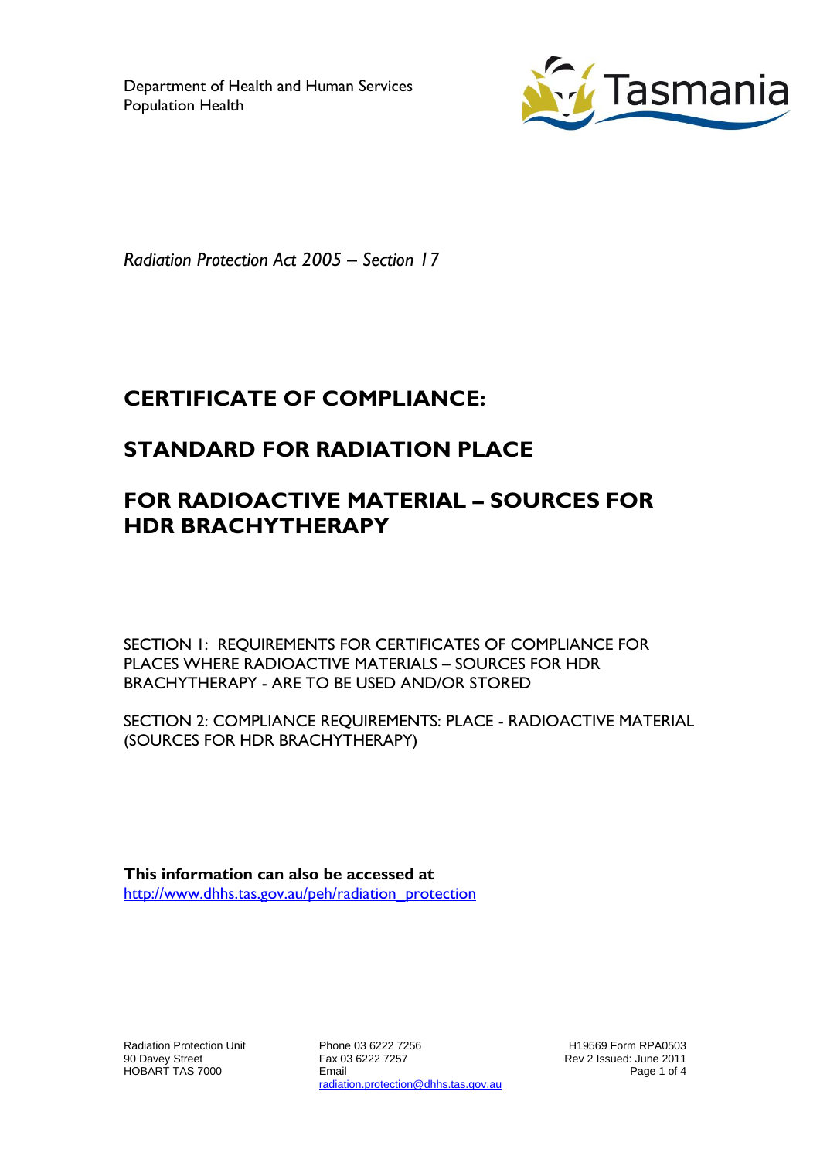Department of Health and Human Services Population Health



*Radiation Protection Act 2005 – Section 17*

# **CERTIFICATE OF COMPLIANCE:**

# **STANDARD FOR RADIATION PLACE**

# **FOR RADIOACTIVE MATERIAL – SOURCES FOR HDR BRACHYTHERAPY**

SECTION 1: REQUIREMENTS FOR CERTIFICATES OF COMPLIANCE FOR PLACES WHERE RADIOACTIVE MATERIALS – SOURCES FOR HDR BRACHYTHERAPY - ARE TO BE USED AND/OR STORED

SECTION 2: COMPLIANCE REQUIREMENTS: PLACE - RADIOACTIVE MATERIAL (SOURCES FOR HDR BRACHYTHERAPY)

**This information can also be accessed at** [http://www.dhhs.tas.gov.au/peh/radiation\\_protection](http://www.dhhs.tas.gov.au/peh/radiation_protection)

Radiation Protection Unit 90 Davey Street HOBART TAS 7000

Phone 03 6222 7256 Fax 03 6222 7257 Email radiation.protection@dhhs.tas.gov.au

H19569 Form RPA0503 Rev 2 Issued: June 2011 Page 1 of 4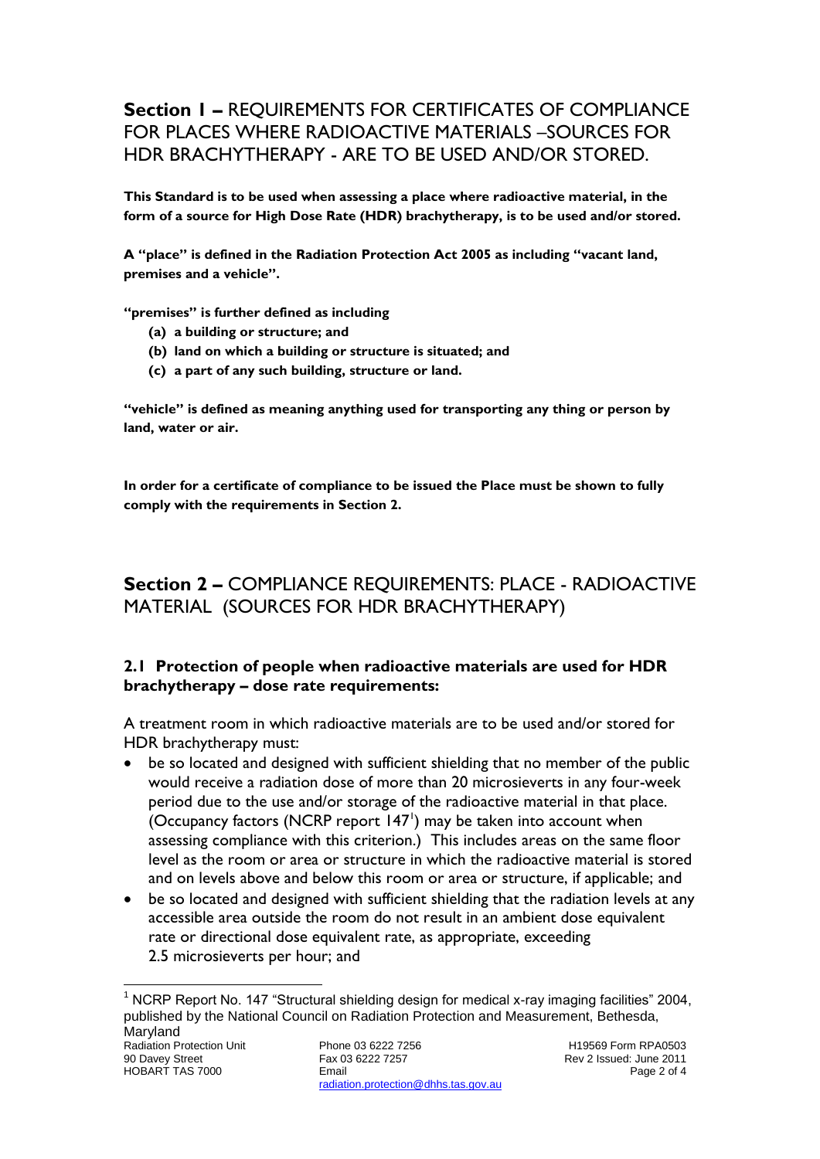# **Section 1 –** REQUIREMENTS FOR CERTIFICATES OF COMPLIANCE FOR PLACES WHERE RADIOACTIVE MATERIALS –SOURCES FOR HDR BRACHYTHERAPY - ARE TO BE USED AND/OR STORED.

**This Standard is to be used when assessing a place where radioactive material, in the form of a source for High Dose Rate (HDR) brachytherapy, is to be used and/or stored.**

**A "place" is defined in the Radiation Protection Act 2005 as including "vacant land, premises and a vehicle".**

**"premises" is further defined as including**

- **(a) a building or structure; and**
- **(b) land on which a building or structure is situated; and**
- **(c) a part of any such building, structure or land.**

**"vehicle" is defined as meaning anything used for transporting any thing or person by land, water or air.**

**In order for a certificate of compliance to be issued the Place must be shown to fully comply with the requirements in Section 2.**

# **Section 2 –** COMPLIANCE REQUIREMENTS: PLACE - RADIOACTIVE MATERIAL (SOURCES FOR HDR BRACHYTHERAPY)

#### **2.1 Protection of people when radioactive materials are used for HDR brachytherapy – dose rate requirements:**

A treatment room in which radioactive materials are to be used and/or stored for HDR brachytherapy must:

- be so located and designed with sufficient shielding that no member of the public would receive a radiation dose of more than 20 microsieverts in any four-week period due to the use and/or storage of the radioactive material in that place. (Occupancy factors (NCRP report  $147'$ ) may be taken into account when assessing compliance with this criterion.) This includes areas on the same floor level as the room or area or structure in which the radioactive material is stored and on levels above and below this room or area or structure, if applicable; and
- be so located and designed with sufficient shielding that the radiation levels at any accessible area outside the room do not result in an ambient dose equivalent rate or directional dose equivalent rate, as appropriate, exceeding 2.5 microsieverts per hour; and

 $\overline{a}$ <sup>1</sup> NCRP Report No. 147 "Structural shielding design for medical x-ray imaging facilities" 2004, published by the National Council on Radiation Protection and Measurement, Bethesda, Maryland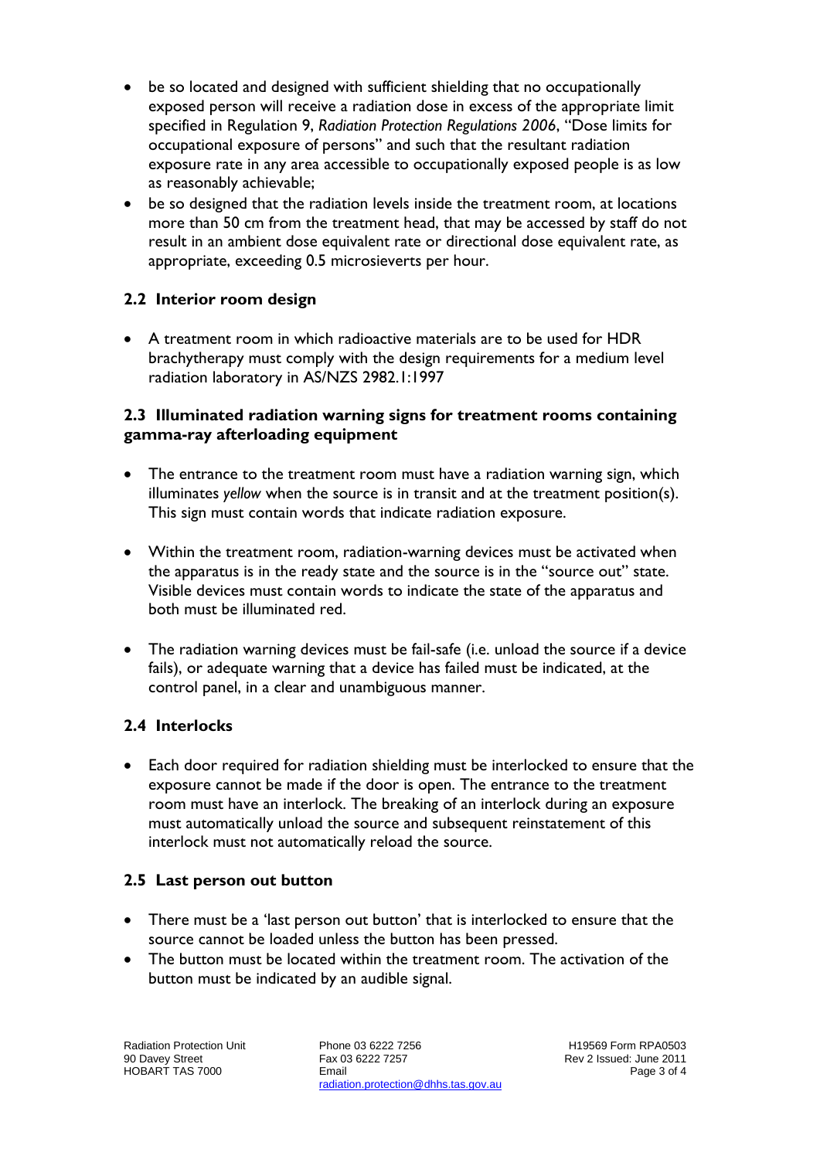- be so located and designed with sufficient shielding that no occupationally exposed person will receive a radiation dose in excess of the appropriate limit specified in Regulation 9, *Radiation Protection Regulations 2006*, "Dose limits for occupational exposure of persons" and such that the resultant radiation exposure rate in any area accessible to occupationally exposed people is as low as reasonably achievable;
- be so designed that the radiation levels inside the treatment room, at locations more than 50 cm from the treatment head, that may be accessed by staff do not result in an ambient dose equivalent rate or directional dose equivalent rate, as appropriate, exceeding 0.5 microsieverts per hour.

# **2.2 Interior room design**

 A treatment room in which radioactive materials are to be used for HDR brachytherapy must comply with the design requirements for a medium level radiation laboratory in AS/NZS 2982.1:1997

#### **2.3 Illuminated radiation warning signs for treatment rooms containing gamma-ray afterloading equipment**

- The entrance to the treatment room must have a radiation warning sign, which illuminates *yellow* when the source is in transit and at the treatment position(s). This sign must contain words that indicate radiation exposure.
- Within the treatment room, radiation-warning devices must be activated when the apparatus is in the ready state and the source is in the "source out" state. Visible devices must contain words to indicate the state of the apparatus and both must be illuminated red.
- The radiation warning devices must be fail-safe (i.e. unload the source if a device fails), or adequate warning that a device has failed must be indicated, at the control panel, in a clear and unambiguous manner.

## **2.4 Interlocks**

 Each door required for radiation shielding must be interlocked to ensure that the exposure cannot be made if the door is open. The entrance to the treatment room must have an interlock. The breaking of an interlock during an exposure must automatically unload the source and subsequent reinstatement of this interlock must not automatically reload the source.

## **2.5 Last person out button**

- There must be a 'last person out button' that is interlocked to ensure that the source cannot be loaded unless the button has been pressed.
- The button must be located within the treatment room. The activation of the button must be indicated by an audible signal.